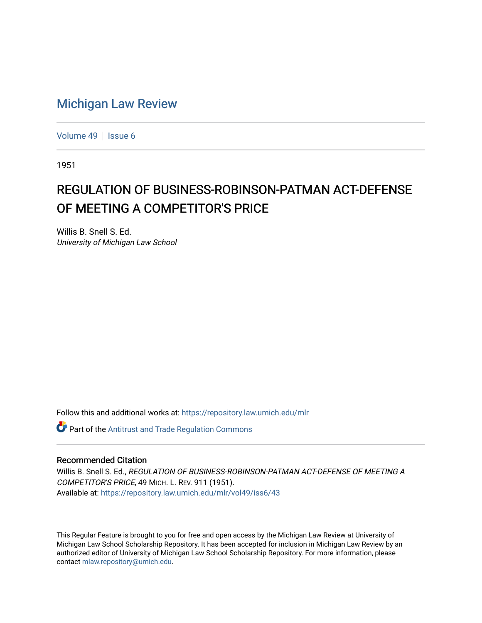## [Michigan Law Review](https://repository.law.umich.edu/mlr)

[Volume 49](https://repository.law.umich.edu/mlr/vol49) | [Issue 6](https://repository.law.umich.edu/mlr/vol49/iss6)

1951

## REGULATION OF BUSINESS-ROBINSON-PATMAN ACT-DEFENSE OF MEETING A COMPETITOR'S PRICE

Willis B. Snell S. Ed. University of Michigan Law School

Follow this and additional works at: [https://repository.law.umich.edu/mlr](https://repository.law.umich.edu/mlr?utm_source=repository.law.umich.edu%2Fmlr%2Fvol49%2Fiss6%2F43&utm_medium=PDF&utm_campaign=PDFCoverPages) 

**Part of the Antitrust and Trade Regulation Commons** 

## Recommended Citation

Willis B. Snell S. Ed., REGULATION OF BUSINESS-ROBINSON-PATMAN ACT-DEFENSE OF MEETING A COMPETITOR'S PRICE, 49 MICH. L. REV. 911 (1951). Available at: [https://repository.law.umich.edu/mlr/vol49/iss6/43](https://repository.law.umich.edu/mlr/vol49/iss6/43?utm_source=repository.law.umich.edu%2Fmlr%2Fvol49%2Fiss6%2F43&utm_medium=PDF&utm_campaign=PDFCoverPages) 

This Regular Feature is brought to you for free and open access by the Michigan Law Review at University of Michigan Law School Scholarship Repository. It has been accepted for inclusion in Michigan Law Review by an authorized editor of University of Michigan Law School Scholarship Repository. For more information, please contact [mlaw.repository@umich.edu](mailto:mlaw.repository@umich.edu).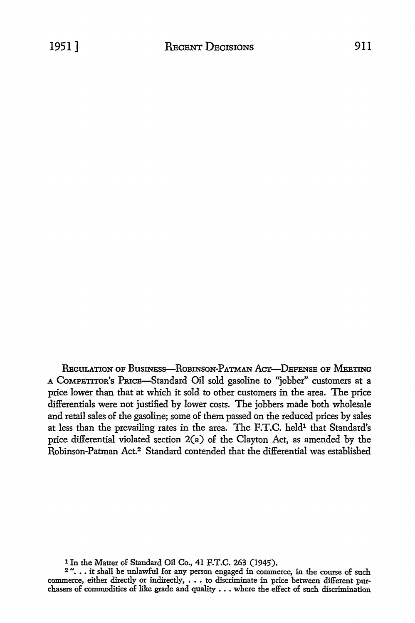REGULATION OF BUSINESS-ROBINSON-PATMAN ACT-DEFENSE OF MEETING A CoMPETITon's PruCB-Standard Oil sold gasoline to "jobber" customers at a price lower than that at which it sold to other customers in the area. The price differentials were not justified by lower costs. The jobbers made both wholesale and retail sales of the gasoline; some of them passed on the reduced prices by sales at less than the prevailing rates in the area. The F.T.C. held<sup>1</sup> that Standard's price differential violated section 2(a) of the Clayton Act, as amended by the Robinson-Patman Act.2 Standard contended that the differential was established

<sup>&</sup>lt;sup>1</sup> In the Matter of Standard Oil Co., 41 F.T.C. 263 (1945).<br><sup>2</sup> ". . . it shall be unlawful for any person engaged in commerce, in the course of such commerce, either directly or indirectly,  $\dots$  to discriminate in price between different purchasers of commodities of like grade and quality . . . where the effect of such discrimination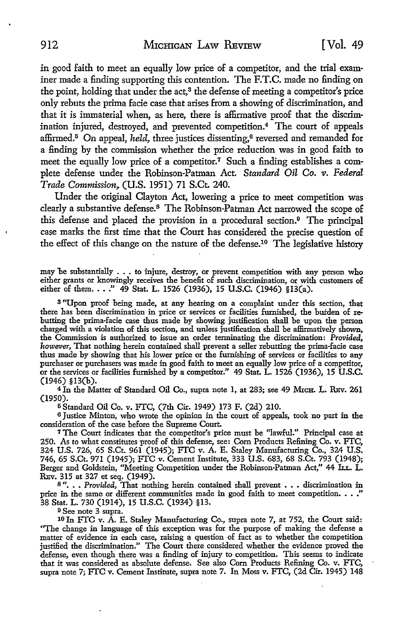in good faith to meet an equally low price of a competitor, and the trial examiner made a finding supporting this contention. The F.T.C. made no finding on the point, holding that under the act,<sup>8</sup> the defense of meeting a competitor's price only rebuts the prima facie case that arises from a showing of discrimination, and that it is immaterial when, as here, there is affirmative proof that the discrimination injured, destroyed, and prevented competition.4 The court of appeals affirmed.5 On appeal, *held,* three justices dissenting,6 reversed and remanded **for**  a finding by the commission whether the price reduction was in good faith to meet the equally low price of a competitor.<sup>7</sup> Such a finding establishes a complete defense under the Robinson-Patman Act. *Standard Oil Co. v. Federal Trade Commission,.* (U.S. 1951) 71 S.Ct 240.

Under the original Clayton Act, lowering a price to meet competition was clearly a substantive defense.<sup>8</sup> The Robinson-Patman Act narrowed the scope of this defense and placed the provision in a procedural section.9 The principal case marks the first time that the Court has considered the precise question of the effect of this change on the nature of the defense.10 The legislative history

may be substantially . . . to injure, destroy, or prevent competition with any person who either grants or knowingly receives the benefit of such discrimination, or with customers of either of them. . . . " 49 Stat. L. 1526 (1936), 15 U.S.C. (1946) §13(a).

<sup>3</sup>"Upon proof being made, at any hearing on a complaint under this section, that there has been discrimination in price or services or facilities furnished, the burden of rebutting the prima-facie case thus made by showing justification shall be upon the person charged with a violation of this section, and unless justification shall be affirmatively shown, the Commission is authorized to issue an order terminating the discrimination: *Provided, however,* That nothing herein contained shall prevent a seller rebutting the prima-facie case thus made by showing that his lower price or the furnishing of services or facilities to any purchaser or purchasers was made in good faith to meet an equally low price of a competitor, or the services or facilities furnished by a competitor." 49 Stat. L. 1526 (1936), 15 **U.S.C.**  (1946) §l3(b).

<sup>4</sup> In the Matter of Standard Oil Co., supra note 1, at 283; see 49 MICH. L. REV. 261 (1950).

<sup>5</sup>Standard *Oil* Co. v. FTC, (7th Cir. 1949) 173 F. (2d) 210.

<sup>6</sup>Justice Minton, who wrote the opinion in the court of appeals, took no part in the consideration of the case before the Supreme Court.

<sup>7</sup>The Court indicates that the competitor's price must be "lawful." Principal case at 250. As to what constitutes proof of this defense, see: Com Products Refining Co. v. FTC, 324 U.S. 726, 65 S.Ct. 961 (1945); FTC v. A. E. Staley Manufacturing Co., 324 U.S. 746, 65 S.Ct. 971 (1945); FTC v. Cement Institute, 333 U.S. 683, 68 S.Ct. 793 (1948); Berger and Goldstein, "Meeting Competition under the Robinson-Patman Act," 44 ILL. L. REv. 315 at 327 et seq. (1949).

8". . . Provided, That nothing herein contained shall prevent . . . discrimination in price in the same or different communities made in good faith to meet competition.  $\ldots$ ." 38 Stat. L. 730 (1914), 15 U.S.C. (1934) §13.

<sup>9</sup>See note 3 supra.

10 In FTC v. A. E. Staley Manufacturing Co., supra note 7, at 752, the Court said: ''The change in language of this exception was for the purpose of making the defense a matter of evidence in each case, raising a question of fact as to whether the competition justified the discrimination." The Court there considered whether the evidence proved the defense, even though there was a finding of injury to competition. This seems to indicate that it was considered as absolute defense. See also Com Products Refining Co. v. FTC, supra note 7; FTC v. Cement Institute, supra note 7. In Moss v. FTC, (2d Cir. 1945) 148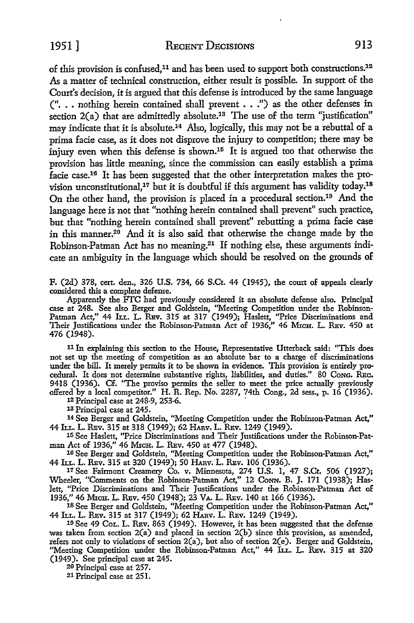1951] RECENT DECISIONS 913

of this provision is confused,<sup>11</sup> and has been used to support both constructions.<sup>12</sup> As a matter of technical construction, either result is possible. In support of the Court's decision, it is argued that this defense is introduced by the same language  $($ "... nothing herein contained shall prevent  $\ldots$ ") as the other defenses in section 2(a) that are admittedly absolute.<sup>13</sup> The use of the term "justification" may indicate that it is absolute.14 Also, logically, this may not be a rebuttal of a prima facie case, as it does not disprove the injury to competition; there may be injury even when this defense is shown.15 It is argued too that otherwise the provision has little meaning, since the commission can easily establish a prima facie case.16 It has been suggested that the other interpretation makes the provision unconstitutional,<sup>17</sup> but it is doubtful if this argument has validity today.<sup>18</sup> On the other hand, the provision is placed in a procedural section.<sup>19</sup> And the language here is not that "nothing herein contained shall prevent" such practice, but that "nothing herein contained shall prevent" rebutting a prima facie case in this manner.20 And it is also said that otherwise the change made by the Robinson-Patman Act has no meaning.<sup>21</sup> If nothing else, these arguments indicate an ambiguity in the language which should be resolved on the grounds of

F. (2d) 378, cert. den., 326 U.S. 734, 66 S.Ct. 44 (1945), the court of appeals clearly considered this a complete defense.

Apparently the FTC had previously considered it an absolute defense also. Principal case at 248. See also Berger and Goldstein, "Meeting Competition under the Robinson-Patman Act," 44 Lt.r.. L. REv. 315 at 317 (1949); Haslett, "Price Discriminations and Their Justifications under the Robinson-Patman Act of 1936,'' 46 MxcH. L. REv. 450 at 476 (1948).

11 In explaining this section to the House, Representative Utterback said: "This does not set up the meeting of competition as an absolute bar to a charge of discriminations under the bill. It merely permits it to be shown in evidence. This provision is entirely procedural. It does not determine substantive rights, liabilities, and duties." 80 CoNG. REc. 9418 (1936). Cf. ''The proviso permits the seller to meet the price actually previously offered by a local competitor." H. R. Rep. No. 2287, 74th Cong., 2d sess., p. 16 (1936).

12 Principal case at 248-9, 253-6. ·

13 Principal case at 245.

14 See Berger and Goldstein, "Meeting Competition under the Robinson-Patman Act," 44 h.r.. L. REv. 315 at 318 (1949); 62 HAnv. L. REv. 1249 (1949).

15 See Haslett, "Price Discriminations and Their Justifications under the Robinson-Patman Act of 1936," 46 MxcH. L. REv. 450 at 477 (1948).

16 See Berger and Goldstein, "Meeting Competition under the Robinson-Patman Act," 44 h.r.. L. REv. 315 at 320 (1949); 50 HAnv. L. REv. 106 (1936).

17 See Fairmont Creamery Co. v. Minnesota, 274 U.S. 1, 47 S.Ct. 506 (1927); Wheeler, "Comments on the Robinson-Patman Act," 12 CoNN. B. J. 171 (1938); Haslett, "Price Discriminations and Their Justifications under the Robinson-Patman Act of 1936," 46 MICH. L. REV. 450 (1948); 23 VA. L. REV. 140 at 166 (1936).

18 See Berger and Goldstein, "Meeting Competition under the Robinson-Patman Act," 44 h.L. L. REv. 315 at 317 (1949); 62 HAnv. L. REv. 1249 (1949).

19 See 49 CoL. L. REv. 863 (1949). However, it has been suggested that the defense was taken from section 2(a) and placed in section 2(b) since this provision, as amended, refers not only to violations of section 2(a), but also of section 2(e). Berger and Goldstein, "Meeting Competition under the Robinson-Patman Act," 44 LL. L. REv. 315 at 320 (1949). See principal case at 245.

20 Principal case at 257.

21 Principal case at 251.